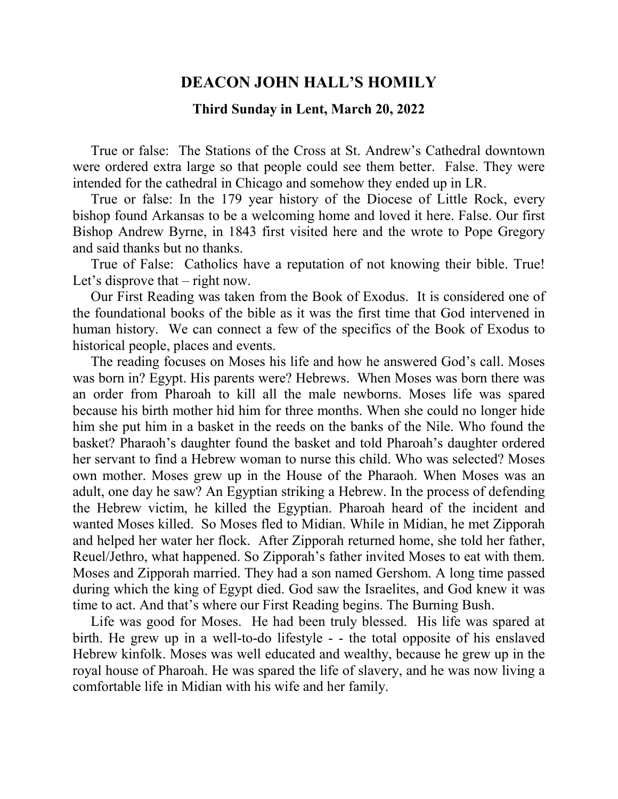## **DEACON JOHN HALL'S HOMILY**

## **Third Sunday in Lent, March 20, 2022**

 True or false: The Stations of the Cross at St. Andrew's Cathedral downtown were ordered extra large so that people could see them better. False. They were intended for the cathedral in Chicago and somehow they ended up in LR.

 True or false: In the 179 year history of the Diocese of Little Rock, every bishop found Arkansas to be a welcoming home and loved it here. False. Our first Bishop Andrew Byrne, in 1843 first visited here and the wrote to Pope Gregory and said thanks but no thanks.

 True of False: Catholics have a reputation of not knowing their bible. True! Let's disprove that – right now.

 Our First Reading was taken from the Book of Exodus. It is considered one of the foundational books of the bible as it was the first time that God intervened in human history. We can connect a few of the specifics of the Book of Exodus to historical people, places and events.

 The reading focuses on Moses his life and how he answered God's call. Moses was born in? Egypt. His parents were? Hebrews. When Moses was born there was an order from Pharoah to kill all the male newborns. Moses life was spared because his birth mother hid him for three months. When she could no longer hide him she put him in a basket in the reeds on the banks of the Nile. Who found the basket? Pharaoh's daughter found the basket and told Pharoah's daughter ordered her servant to find a Hebrew woman to nurse this child. Who was selected? Moses own mother. Moses grew up in the House of the Pharaoh. When Moses was an adult, one day he saw? An Egyptian striking a Hebrew. In the process of defending the Hebrew victim, he killed the Egyptian. Pharoah heard of the incident and wanted Moses killed. So Moses fled to Midian. While in Midian, he met Zipporah and helped her water her flock. After Zipporah returned home, she told her father, Reuel/Jethro, what happened. So Zipporah's father invited Moses to eat with them. Moses and Zipporah married. They had a son named Gershom. A long time passed during which the king of Egypt died. God saw the Israelites, and God knew it was time to act. And that's where our First Reading begins. The Burning Bush.

 Life was good for Moses. He had been truly blessed. His life was spared at birth. He grew up in a well-to-do lifestyle - - the total opposite of his enslaved Hebrew kinfolk. Moses was well educated and wealthy, because he grew up in the royal house of Pharoah. He was spared the life of slavery, and he was now living a comfortable life in Midian with his wife and her family.